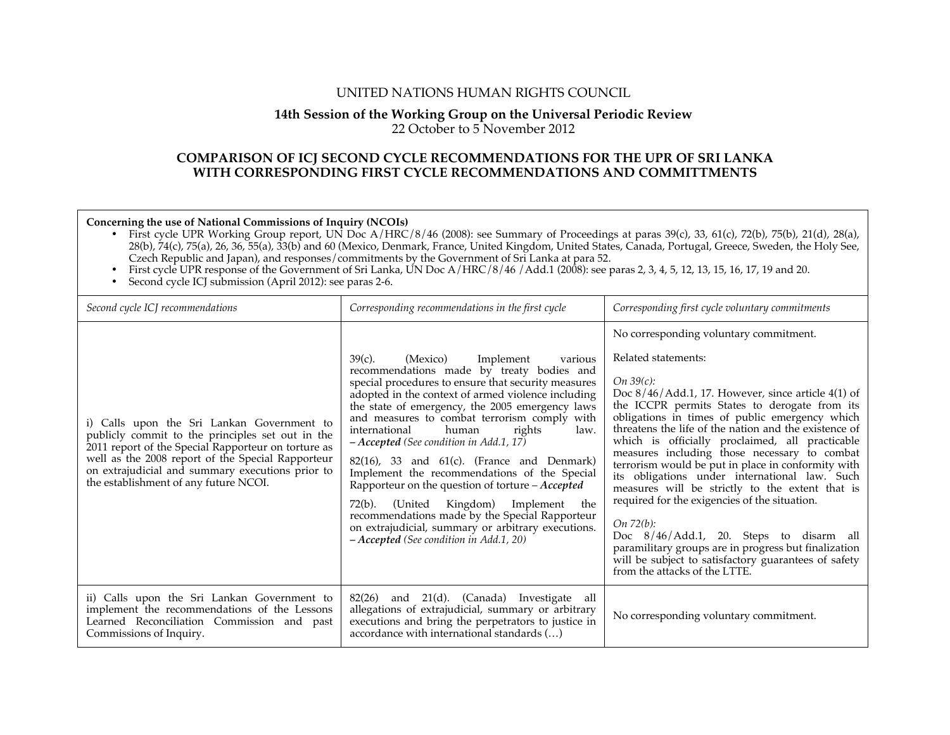## UNITED NATIONS HUMAN RIGHTS COUNCIL

# **14th Session of the Working Group on the Universal Periodic Review**

22 October to 5 November 2012

## **COMPARISON OF ICJ SECOND CYCLE RECOMMENDATIONS FOR THE UPR OF SRI LANKA WITH CORRESPONDING FIRST CYCLE RECOMMENDATIONS AND COMMITTMENTS**

**Concerning the use of National Commissions of Inquiry (NCOIs)**

• First cycle UPR Working Group report, UN Doc  $A/HRC/8/46$  (2008): see Summary of Proceedings at paras 39(c), 33, 61(c), 72(b), 75(b), 21(d), 28(a), 28(b), 74(c), 75(a), 26, 36, 55(a), 33(b) and 60 (Mexico, Denmark, France, United Kingdom, United States, Canada, Portugal, Greece, Sweden, the Holy See, Czech Republic and Japan), and responses/commitments by the Government of Sri Lanka at para 52.

• First cycle UPR response of the Government of Sri Lanka, UN Doc A/HRC/8/46/Add.1 (2008): see paras 2, 3, 4, 5, 12, 13, 15, 16, 17, 19 and 20.

• Second cycle ICJ submission (April 2012): see paras 2-6.

| Second cycle ICJ recommendations                                                                                                                                                                                                                                                                        | Corresponding recommendations in the first cycle                                                                                                                                                                                                                                                                                                                                                                                                                                                                                                                                                                                                                                                                                                              | Corresponding first cycle voluntary commitments                                                                                                                                                                                                                                                                                                                                                                                                                                                                                                                                                                                                                                                                                                                                                                              |
|---------------------------------------------------------------------------------------------------------------------------------------------------------------------------------------------------------------------------------------------------------------------------------------------------------|---------------------------------------------------------------------------------------------------------------------------------------------------------------------------------------------------------------------------------------------------------------------------------------------------------------------------------------------------------------------------------------------------------------------------------------------------------------------------------------------------------------------------------------------------------------------------------------------------------------------------------------------------------------------------------------------------------------------------------------------------------------|------------------------------------------------------------------------------------------------------------------------------------------------------------------------------------------------------------------------------------------------------------------------------------------------------------------------------------------------------------------------------------------------------------------------------------------------------------------------------------------------------------------------------------------------------------------------------------------------------------------------------------------------------------------------------------------------------------------------------------------------------------------------------------------------------------------------------|
| i) Calls upon the Sri Lankan Government to<br>publicly commit to the principles set out in the<br>2011 report of the Special Rapporteur on torture as<br>well as the 2008 report of the Special Rapporteur<br>on extrajudicial and summary executions prior to<br>the establishment of any future NCOI. | $39(c)$ .<br>(Mexico)<br>Implement<br>various<br>recommendations made by treaty bodies and<br>special procedures to ensure that security measures<br>adopted in the context of armed violence including<br>the state of emergency, the 2005 emergency laws<br>and measures to combat terrorism comply with<br>human<br>international<br>rights<br>law.<br>$-Accepted$ (See condition in Add.1, 17)<br>$82(16)$ , 33 and $61(c)$ . (France and Denmark)<br>Implement the recommendations of the Special<br>Rapporteur on the question of torture $-Accepted$<br>(United Kingdom) Implement<br>72(b).<br>the<br>recommendations made by the Special Rapporteur<br>on extrajudicial, summary or arbitrary executions.<br>- Accepted (See condition in Add.1, 20) | No corresponding voluntary commitment.<br>Related statements:<br>$On\,39(c)$ :<br>Doc $8/46/Add.1$ , 17. However, since article $4(1)$ of<br>the ICCPR permits States to derogate from its<br>obligations in times of public emergency which<br>threatens the life of the nation and the existence of<br>which is officially proclaimed, all practicable<br>measures including those necessary to combat<br>terrorism would be put in place in conformity with<br>its obligations under international law. Such<br>measures will be strictly to the extent that is<br>required for the exigencies of the situation.<br>On 72(b):<br>Doc 8/46/Add.1, 20. Steps to disarm all<br>paramilitary groups are in progress but finalization<br>will be subject to satisfactory guarantees of safety<br>from the attacks of the LTTE. |
| ii) Calls upon the Sri Lankan Government to<br>implement the recommendations of the Lessons<br>Learned Reconciliation Commission and past<br>Commissions of Inquiry.                                                                                                                                    | 82(26) and 21(d). (Canada) Investigate<br>all<br>allegations of extrajudicial, summary or arbitrary<br>executions and bring the perpetrators to justice in<br>accordance with international standards ()                                                                                                                                                                                                                                                                                                                                                                                                                                                                                                                                                      | No corresponding voluntary commitment.                                                                                                                                                                                                                                                                                                                                                                                                                                                                                                                                                                                                                                                                                                                                                                                       |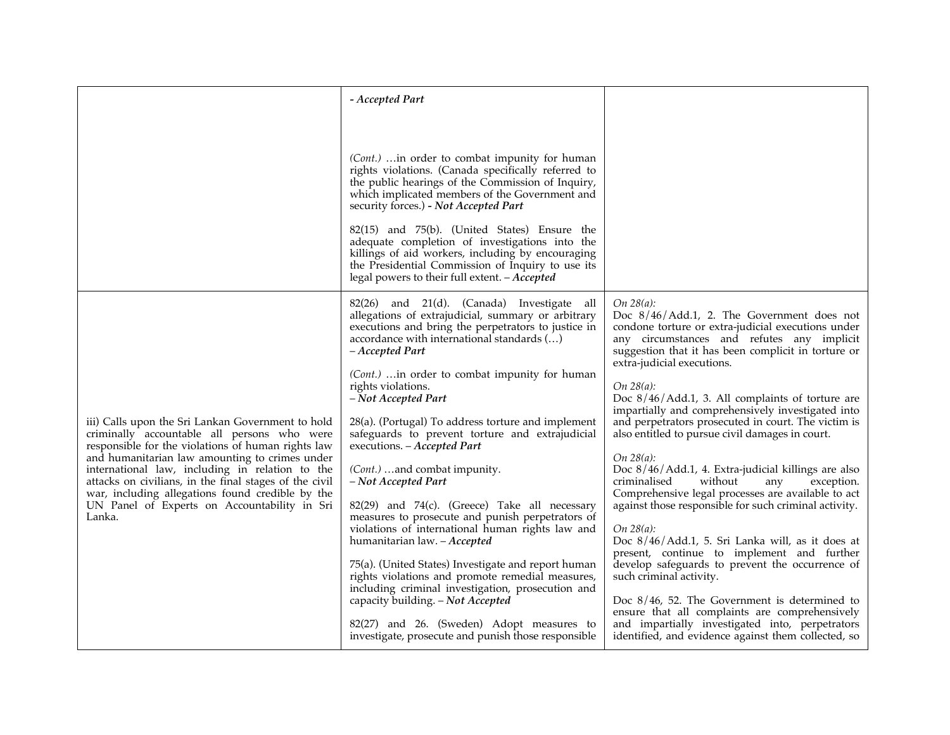|                                                                                                                                                                                                                                                                                                                                                                                                                                     | - Accepted Part                                                                                                                                                                                                                                                                                                                                                                                                                                                                                                                                                                                                                                                                                                                                                                                                                                                                                                                                                                                                          |                                                                                                                                                                                                                                                                                                                                                                                                                                                                                                                                                                                                                                                                                                                                                                                                                                                                                                                                                                                                                                                                                                                                           |
|-------------------------------------------------------------------------------------------------------------------------------------------------------------------------------------------------------------------------------------------------------------------------------------------------------------------------------------------------------------------------------------------------------------------------------------|--------------------------------------------------------------------------------------------------------------------------------------------------------------------------------------------------------------------------------------------------------------------------------------------------------------------------------------------------------------------------------------------------------------------------------------------------------------------------------------------------------------------------------------------------------------------------------------------------------------------------------------------------------------------------------------------------------------------------------------------------------------------------------------------------------------------------------------------------------------------------------------------------------------------------------------------------------------------------------------------------------------------------|-------------------------------------------------------------------------------------------------------------------------------------------------------------------------------------------------------------------------------------------------------------------------------------------------------------------------------------------------------------------------------------------------------------------------------------------------------------------------------------------------------------------------------------------------------------------------------------------------------------------------------------------------------------------------------------------------------------------------------------------------------------------------------------------------------------------------------------------------------------------------------------------------------------------------------------------------------------------------------------------------------------------------------------------------------------------------------------------------------------------------------------------|
|                                                                                                                                                                                                                                                                                                                                                                                                                                     | (Cont.)  in order to combat impunity for human<br>rights violations. (Canada specifically referred to<br>the public hearings of the Commission of Inquiry,<br>which implicated members of the Government and<br>security forces.) - Not Accepted Part<br>82(15) and 75(b). (United States) Ensure the<br>adequate completion of investigations into the<br>killings of aid workers, including by encouraging<br>the Presidential Commission of Inquiry to use its<br>legal powers to their full extent. - Accepted                                                                                                                                                                                                                                                                                                                                                                                                                                                                                                       |                                                                                                                                                                                                                                                                                                                                                                                                                                                                                                                                                                                                                                                                                                                                                                                                                                                                                                                                                                                                                                                                                                                                           |
| iii) Calls upon the Sri Lankan Government to hold<br>criminally accountable all persons who were<br>responsible for the violations of human rights law<br>and humanitarian law amounting to crimes under<br>international law, including in relation to the<br>attacks on civilians, in the final stages of the civil<br>war, including allegations found credible by the<br>UN Panel of Experts on Accountability in Sri<br>Lanka. | 82(26) and 21(d). (Canada) Investigate all<br>allegations of extrajudicial, summary or arbitrary<br>executions and bring the perpetrators to justice in<br>accordance with international standards ()<br>- Accepted Part<br>(Cont.)  in order to combat impunity for human<br>rights violations.<br>- Not Accepted Part<br>28(a). (Portugal) To address torture and implement<br>safeguards to prevent torture and extrajudicial<br>executions. - Accepted Part<br>(Cont.) and combat impunity.<br>- Not Accepted Part<br>82(29) and 74(c). (Greece) Take all necessary<br>measures to prosecute and punish perpetrators of<br>violations of international human rights law and<br>humanitarian law. - Accepted<br>75(a). (United States) Investigate and report human<br>rights violations and promote remedial measures,<br>including criminal investigation, prosecution and<br>capacity building. - Not Accepted<br>82(27) and 26. (Sweden) Adopt measures to<br>investigate, prosecute and punish those responsible | On $28(a)$ :<br>Doc 8/46/Add.1, 2. The Government does not<br>condone torture or extra-judicial executions under<br>any circumstances and refutes any implicit<br>suggestion that it has been complicit in torture or<br>extra-judicial executions.<br>On $28(a)$ :<br>Doc 8/46/Add.1, 3. All complaints of torture are<br>impartially and comprehensively investigated into<br>and perpetrators prosecuted in court. The victim is<br>also entitled to pursue civil damages in court.<br>On $28(a)$ :<br>Doc 8/46/Add.1, 4. Extra-judicial killings are also<br>criminalised<br>without<br>any<br>exception.<br>Comprehensive legal processes are available to act<br>against those responsible for such criminal activity.<br>On 28(a):<br>Doc 8/46/Add.1, 5. Sri Lanka will, as it does at<br>present, continue to implement and further<br>develop safeguards to prevent the occurrence of<br>such criminal activity.<br>Doc $8/46$ , 52. The Government is determined to<br>ensure that all complaints are comprehensively<br>and impartially investigated into, perpetrators<br>identified, and evidence against them collected, so |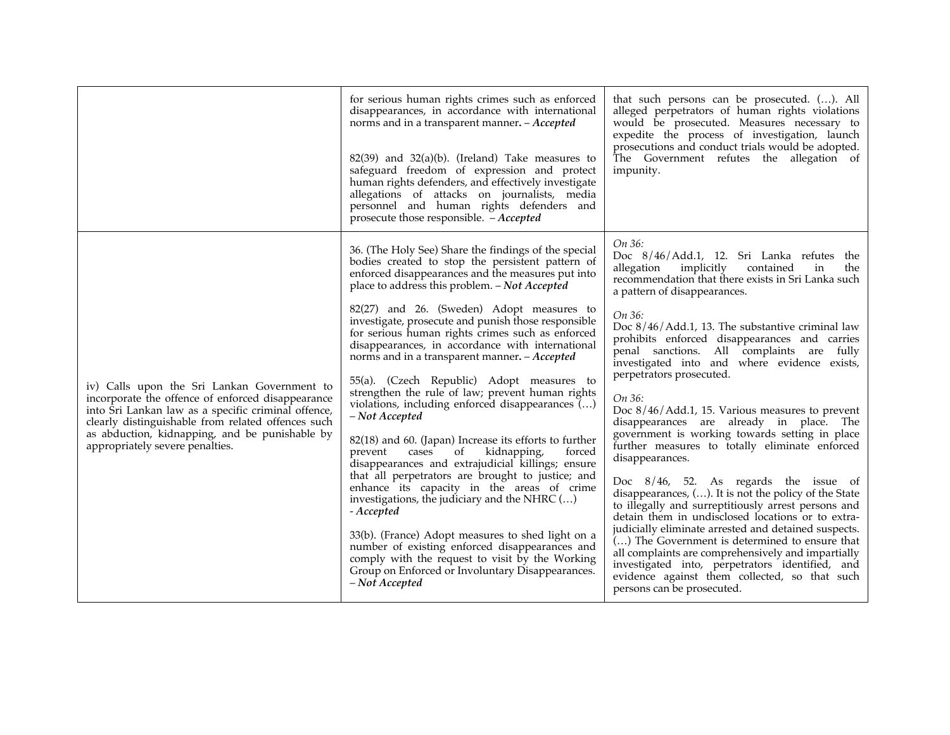|                                                                                                                                                                                                                                                                                                    | for serious human rights crimes such as enforced<br>disappearances, in accordance with international<br>norms and in a transparent manner. - Accepted<br>$82(39)$ and $32(a)(b)$ . (Ireland) Take measures to<br>safeguard freedom of expression and protect<br>human rights defenders, and effectively investigate<br>allegations of attacks on journalists, media<br>personnel and human rights defenders and<br>prosecute those responsible. - Accepted | that such persons can be prosecuted. (). All<br>alleged perpetrators of human rights violations<br>would be prosecuted. Measures necessary to<br>expedite the process of investigation, launch<br>prosecutions and conduct trials would be adopted.<br>The Government refutes the allegation of<br>impunity. |
|----------------------------------------------------------------------------------------------------------------------------------------------------------------------------------------------------------------------------------------------------------------------------------------------------|------------------------------------------------------------------------------------------------------------------------------------------------------------------------------------------------------------------------------------------------------------------------------------------------------------------------------------------------------------------------------------------------------------------------------------------------------------|--------------------------------------------------------------------------------------------------------------------------------------------------------------------------------------------------------------------------------------------------------------------------------------------------------------|
| iv) Calls upon the Sri Lankan Government to<br>incorporate the offence of enforced disappearance<br>into Sri Lankan law as a specific criminal offence,<br>clearly distinguishable from related offences such<br>as abduction, kidnapping, and be punishable by<br>appropriately severe penalties. | 36. (The Holy See) Share the findings of the special<br>bodies created to stop the persistent pattern of<br>enforced disappearances and the measures put into<br>place to address this problem. - Not Accepted                                                                                                                                                                                                                                             | On 36:<br>Doc 8/46/Add.1, 12. Sri Lanka refutes the<br>allegation<br>implicitly<br>contained<br>in<br>the<br>recommendation that there exists in Sri Lanka such<br>a pattern of disappearances.                                                                                                              |
|                                                                                                                                                                                                                                                                                                    | 82(27) and 26. (Sweden) Adopt measures to<br>investigate, prosecute and punish those responsible<br>for serious human rights crimes such as enforced<br>disappearances, in accordance with international<br>norms and in a transparent manner. - Accepted                                                                                                                                                                                                  | On 36:<br>Doc $8/46/Add.1$ , 13. The substantive criminal law<br>prohibits enforced disappearances and carries<br>penal sanctions. All complaints are fully<br>investigated into and where evidence exists,<br>perpetrators prosecuted.                                                                      |
|                                                                                                                                                                                                                                                                                                    | 55(a). (Czech Republic) Adopt measures to<br>strengthen the rule of law; prevent human rights<br>violations, including enforced disappearances $(\ldots)$<br>- Not Accepted<br>82(18) and 60. (Japan) Increase its efforts to further<br>cases<br>kidnapping,<br>prevent<br>of<br>forced<br>disappearances and extrajudicial killings; ensure                                                                                                              | On 36:<br>Doc $8/46/Add.1$ , 15. Various measures to prevent<br>disappearances are already in place. The<br>government is working towards setting in place<br>further measures to totally eliminate enforced<br>disappearances.                                                                              |
|                                                                                                                                                                                                                                                                                                    | that all perpetrators are brought to justice; and<br>enhance its capacity in the areas of crime<br>investigations, the judiciary and the NHRC ()<br>- Accepted                                                                                                                                                                                                                                                                                             | Doc $8/46$ , 52. As regards the issue of<br>disappearances, $()$ . It is not the policy of the State<br>to illegally and surreptitiously arrest persons and<br>detain them in undisclosed locations or to extra-                                                                                             |
|                                                                                                                                                                                                                                                                                                    | 33(b). (France) Adopt measures to shed light on a<br>number of existing enforced disappearances and<br>comply with the request to visit by the Working<br>Group on Enforced or Involuntary Disappearances.<br>– Not Accepted                                                                                                                                                                                                                               | judicially eliminate arrested and detained suspects.<br>() The Government is determined to ensure that<br>all complaints are comprehensively and impartially<br>investigated into, perpetrators identified, and<br>evidence against them collected, so that such<br>persons can be prosecuted.               |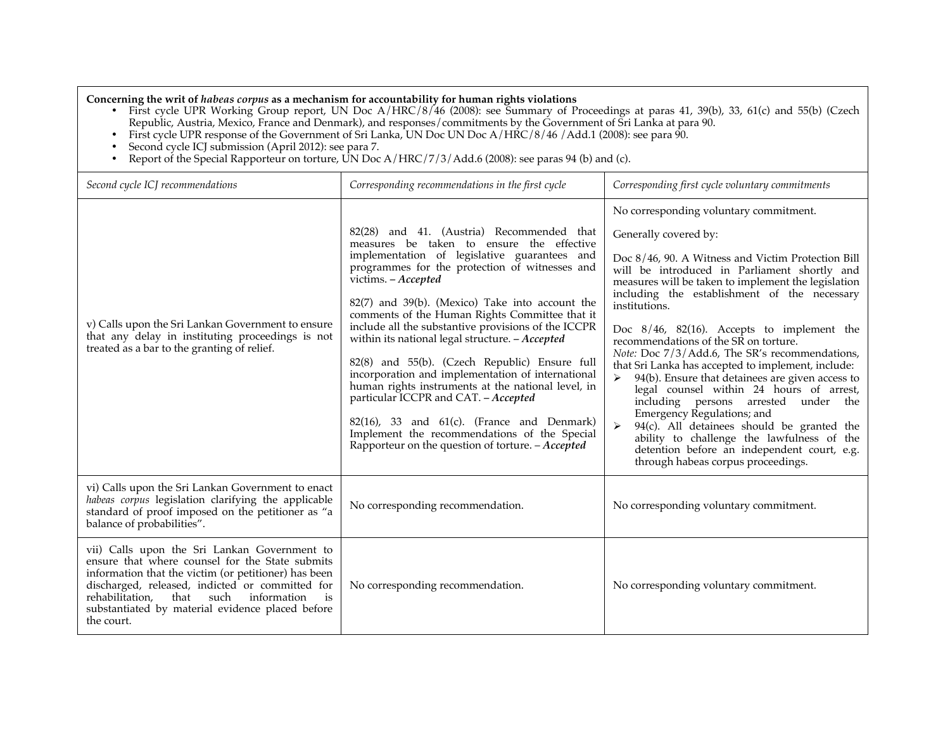**Concerning the writ of** *habeas corpus* **as a mechanism for accountability for human rights violations**

- First cycle UPR Working Group report, UN Doc A/HRC/8/46 (2008): see Summary of Proceedings at paras 41, 39(b), 33, 61(c) and 55(b) (Czech Republic, Austria, Mexico, France and Denmark), and responses/commitments by the Government of Sri Lanka at para 90.
- First cycle UPR response of the Government of Sri Lanka, UN Doc UN Doc A/HRC/8/46 /Add.1 (2008): see para 90.
- Second cycle ICJ submission (April 2012): see para 7.
- Report of the Special Rapporteur on torture, UN Doc A/HRC/7/3/Add.6 (2008): see paras 94 (b) and (c).

| Second cycle ICJ recommendations                                                                                                                                                                                                                                                                                                             | Corresponding recommendations in the first cycle                                                                                                                                                                                                                                                                                                                                                                                                                                                                                                                                                                                                                                                                                                                                             | Corresponding first cycle voluntary commitments                                                                                                                                                                                                                                                                                                                                                                                                                                                                                                                                                                                                                                                                                                                                                                                                        |
|----------------------------------------------------------------------------------------------------------------------------------------------------------------------------------------------------------------------------------------------------------------------------------------------------------------------------------------------|----------------------------------------------------------------------------------------------------------------------------------------------------------------------------------------------------------------------------------------------------------------------------------------------------------------------------------------------------------------------------------------------------------------------------------------------------------------------------------------------------------------------------------------------------------------------------------------------------------------------------------------------------------------------------------------------------------------------------------------------------------------------------------------------|--------------------------------------------------------------------------------------------------------------------------------------------------------------------------------------------------------------------------------------------------------------------------------------------------------------------------------------------------------------------------------------------------------------------------------------------------------------------------------------------------------------------------------------------------------------------------------------------------------------------------------------------------------------------------------------------------------------------------------------------------------------------------------------------------------------------------------------------------------|
| v) Calls upon the Sri Lankan Government to ensure<br>that any delay in instituting proceedings is not<br>treated as a bar to the granting of relief.                                                                                                                                                                                         | 82(28) and 41. (Austria) Recommended that<br>measures be taken to ensure the effective<br>implementation of legislative guarantees and<br>programmes for the protection of witnesses and<br>victims. - Accepted<br>82(7) and 39(b). (Mexico) Take into account the<br>comments of the Human Rights Committee that it<br>include all the substantive provisions of the ICCPR<br>within its national legal structure. - Accepted<br>82(8) and 55(b). (Czech Republic) Ensure full<br>incorporation and implementation of international<br>human rights instruments at the national level, in<br>particular ICCPR and CAT. - Accepted<br>$82(16)$ , 33 and $61(c)$ . (France and Denmark)<br>Implement the recommendations of the Special<br>Rapporteur on the question of torture. $-Accepted$ | No corresponding voluntary commitment.<br>Generally covered by:<br>Doc $8/46$ , 90. A Witness and Victim Protection Bill<br>will be introduced in Parliament shortly and<br>measures will be taken to implement the legislation<br>including the establishment of the necessary<br>institutions.<br>Doc 8/46, 82(16). Accepts to implement the<br>recommendations of the SR on torture.<br>Note: Doc 7/3/Add.6, The SR's recommendations,<br>that Sri Lanka has accepted to implement, include:<br>94(b). Ensure that detainees are given access to<br>legal counsel within 24 hours of arrest,<br>including persons arrested under the<br>Emergency Regulations; and<br>94(c). All detainees should be granted the<br>ability to challenge the lawfulness of the<br>detention before an independent court, e.g.<br>through habeas corpus proceedings. |
| vi) Calls upon the Sri Lankan Government to enact<br>habeas corpus legislation clarifying the applicable<br>standard of proof imposed on the petitioner as "a<br>balance of probabilities".                                                                                                                                                  | No corresponding recommendation.                                                                                                                                                                                                                                                                                                                                                                                                                                                                                                                                                                                                                                                                                                                                                             | No corresponding voluntary commitment.                                                                                                                                                                                                                                                                                                                                                                                                                                                                                                                                                                                                                                                                                                                                                                                                                 |
| vii) Calls upon the Sri Lankan Government to<br>ensure that where counsel for the State submits<br>information that the victim (or petitioner) has been<br>discharged, released, indicted or committed for<br>rehabilitation,<br>that such<br>information<br>$\frac{1}{1}$<br>substantiated by material evidence placed before<br>the court. | No corresponding recommendation.                                                                                                                                                                                                                                                                                                                                                                                                                                                                                                                                                                                                                                                                                                                                                             | No corresponding voluntary commitment.                                                                                                                                                                                                                                                                                                                                                                                                                                                                                                                                                                                                                                                                                                                                                                                                                 |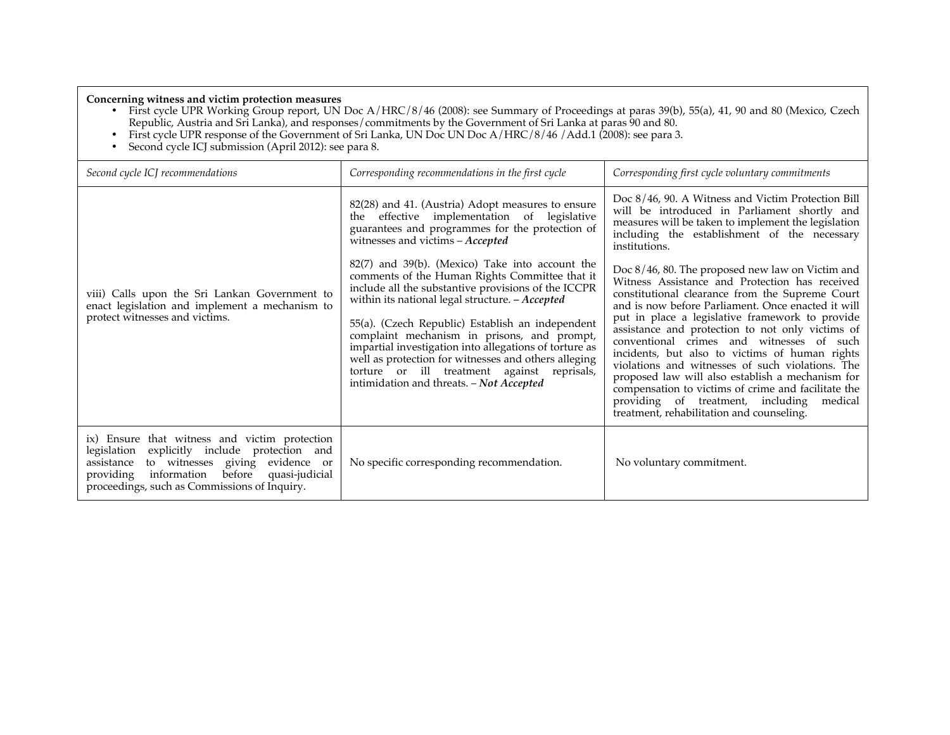### **Concerning witness and victim protection measures**

- First cycle UPR Working Group report, UN Doc A/HRC/8/46 (2008): see Summary of Proceedings at paras 39(b), 55(a), 41, 90 and 80 (Mexico, Czech Republic, Austria and Sri Lanka), and responses/commitments by the Government of Sri Lanka at paras 90 and 80.
- First cycle UPR response of the Government of Sri Lanka, UN Doc UN Doc A/HRC/8/46 /Add.1 (2008): see para 3.
- Second cycle ICJ submission (April 2012): see para 8.

| Second cycle ICJ recommendations                                                                                                                                                                                                                           | Corresponding recommendations in the first cycle                                                                                                                                                                                                                                                                                                                                                                                                                                                                                 | Corresponding first cycle voluntary commitments                                                                                                                                                                                                                                                                                                                                                                                                                                                                                                                                                                                                                            |
|------------------------------------------------------------------------------------------------------------------------------------------------------------------------------------------------------------------------------------------------------------|----------------------------------------------------------------------------------------------------------------------------------------------------------------------------------------------------------------------------------------------------------------------------------------------------------------------------------------------------------------------------------------------------------------------------------------------------------------------------------------------------------------------------------|----------------------------------------------------------------------------------------------------------------------------------------------------------------------------------------------------------------------------------------------------------------------------------------------------------------------------------------------------------------------------------------------------------------------------------------------------------------------------------------------------------------------------------------------------------------------------------------------------------------------------------------------------------------------------|
|                                                                                                                                                                                                                                                            | 82(28) and 41. (Austria) Adopt measures to ensure<br>effective implementation of legislative<br>the<br>guarantees and programmes for the protection of<br>witnesses and victims - Accepted                                                                                                                                                                                                                                                                                                                                       | Doc 8/46, 90. A Witness and Victim Protection Bill<br>will be introduced in Parliament shortly and<br>measures will be taken to implement the legislation<br>including the establishment of the necessary<br>institutions.                                                                                                                                                                                                                                                                                                                                                                                                                                                 |
| viii) Calls upon the Sri Lankan Government to<br>enact legislation and implement a mechanism to<br>protect witnesses and victims.                                                                                                                          | $82(7)$ and $39(b)$ . (Mexico) Take into account the<br>comments of the Human Rights Committee that it<br>include all the substantive provisions of the ICCPR<br>within its national legal structure. - Accepted<br>55(a). (Czech Republic) Establish an independent<br>complaint mechanism in prisons, and prompt,<br>impartial investigation into allegations of torture as<br>well as protection for witnesses and others alleging<br>torture or ill treatment against reprisals,<br>intimidation and threats. - Not Accepted | Doc 8/46, 80. The proposed new law on Victim and<br>Witness Assistance and Protection has received<br>constitutional clearance from the Supreme Court<br>and is now before Parliament. Once enacted it will<br>put in place a legislative framework to provide<br>assistance and protection to not only victims of<br>conventional crimes and witnesses of such<br>incidents, but also to victims of human rights<br>violations and witnesses of such violations. The<br>proposed law will also establish a mechanism for<br>compensation to victims of crime and facilitate the<br>providing of treatment, including medical<br>treatment, rehabilitation and counseling. |
| ix) Ensure that witness and victim protection<br>explicitly include protection and<br>legislation<br>to witnesses giving<br>assistance<br>evidence or<br>before<br>providing information<br>quasi-judicial<br>proceedings, such as Commissions of Inquiry. | No specific corresponding recommendation.                                                                                                                                                                                                                                                                                                                                                                                                                                                                                        | No voluntary commitment.                                                                                                                                                                                                                                                                                                                                                                                                                                                                                                                                                                                                                                                   |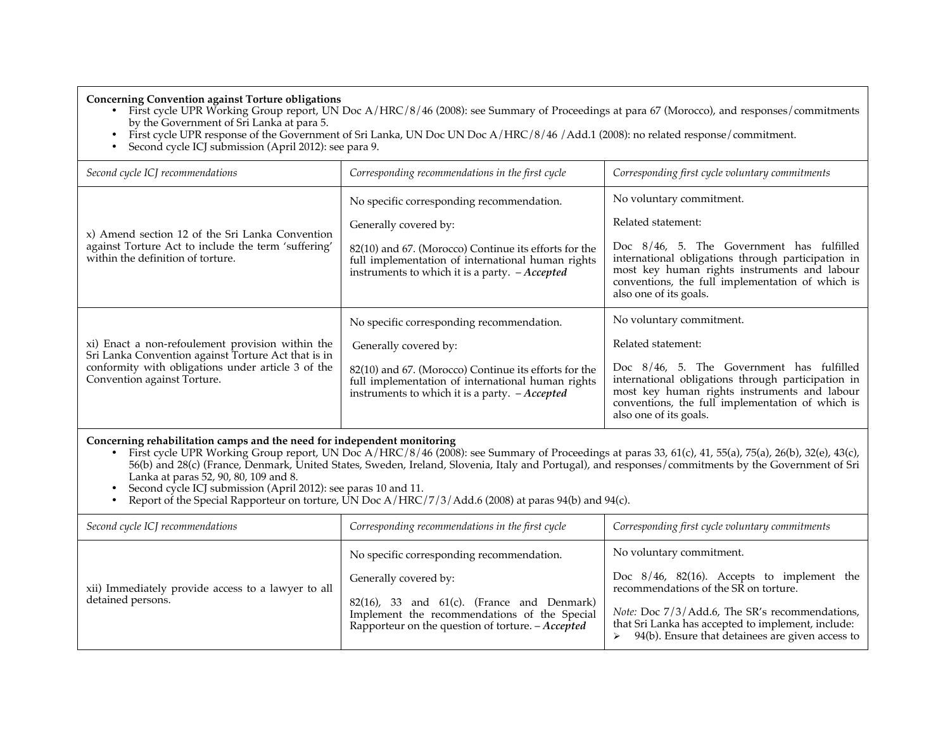**Concerning Convention against Torture obligations**

- First cycle UPR Working Group report, UN Doc A/HRC/8/46 (2008): see Summary of Proceedings at para 67 (Morocco), and responses/commitments by the Government of Sri Lanka at para 5.
- First cycle UPR response of the Government of Sri Lanka, UN Doc UN Doc A/HRC/8/46 /Add.1 (2008): no related response/commitment.
- Second cycle ICJ submission (April 2012): see para 9.

| Second cycle ICJ recommendations                                                                                                                                                             | Corresponding recommendations in the first cycle                                                                                                                                                                                            | Corresponding first cycle voluntary commitments                                                                                                                                                                                                                                 |
|----------------------------------------------------------------------------------------------------------------------------------------------------------------------------------------------|---------------------------------------------------------------------------------------------------------------------------------------------------------------------------------------------------------------------------------------------|---------------------------------------------------------------------------------------------------------------------------------------------------------------------------------------------------------------------------------------------------------------------------------|
| x) Amend section 12 of the Sri Lanka Convention<br>against Torture Act to include the term 'suffering'<br>within the definition of torture.                                                  | No specific corresponding recommendation.<br>Generally covered by:<br>82(10) and 67. (Morocco) Continue its efforts for the<br>full implementation of international human rights<br>instruments to which it is a party. $-A$ <i>ccepted</i> | No voluntary commitment.<br>Related statement:<br>Doc 8/46, 5. The Government has fulfilled<br>international obligations through participation in<br>most key human rights instruments and labour<br>conventions, the full implementation of which is<br>also one of its goals. |
| xi) Enact a non-refoulement provision within the<br>Sri Lanka Convention against Torture Act that is in<br>conformity with obligations under article 3 of the<br>Convention against Torture. | No specific corresponding recommendation.<br>Generally covered by:<br>82(10) and 67. (Morocco) Continue its efforts for the<br>full implementation of international human rights<br>instruments to which it is a party. $-Accepted$         | No voluntary commitment.<br>Related statement:<br>Doc 8/46, 5. The Government has fulfilled<br>international obligations through participation in<br>most key human rights instruments and labour<br>conventions, the full implementation of which is<br>also one of its goals. |

### **Concerning rehabilitation camps and the need for independent monitoring**

- First cycle UPR Working Group report, UN Doc A/HRC/8/46 (2008): see Summary of Proceedings at paras 33, 61(c), 41, 55(a), 75(a), 26(b), 32(e), 43(c), 56(b) and 28(c) (France, Denmark, United States, Sweden, Ireland, Slovenia, Italy and Portugal), and responses/commitments by the Government of Sri Lanka at paras 52, 90, 80, 109 and 8.
- Second cycle ICJ submission (April 2012): see paras 10 and 11.
- Report of the Special Rapporteur on torture, UN Doc A/HRC/7/3/Add.6 (2008) at paras 94(b) and 94(c).

| Second cycle ICJ recommendations                                        | Corresponding recommendations in the first cycle                                                                                                                                                                            | Corresponding first cycle voluntary commitments                                                                                                                                                                                                                                   |
|-------------------------------------------------------------------------|-----------------------------------------------------------------------------------------------------------------------------------------------------------------------------------------------------------------------------|-----------------------------------------------------------------------------------------------------------------------------------------------------------------------------------------------------------------------------------------------------------------------------------|
| xii) Immediately provide access to a lawyer to all<br>detained persons. | No specific corresponding recommendation.<br>Generally covered by:<br>$82(16)$ , 33 and $61(c)$ . (France and Denmark)<br>Implement the recommendations of the Special<br>Rapporteur on the question of torture. - Accepted | No voluntary commitment.<br>Doc $8/46$ , $82(16)$ . Accepts to implement the<br>recommendations of the SR on torture.<br>Note: Doc 7/3/Add.6, The SR's recommendations,<br>that Sri Lanka has accepted to implement, include:<br>94(b). Ensure that detainees are given access to |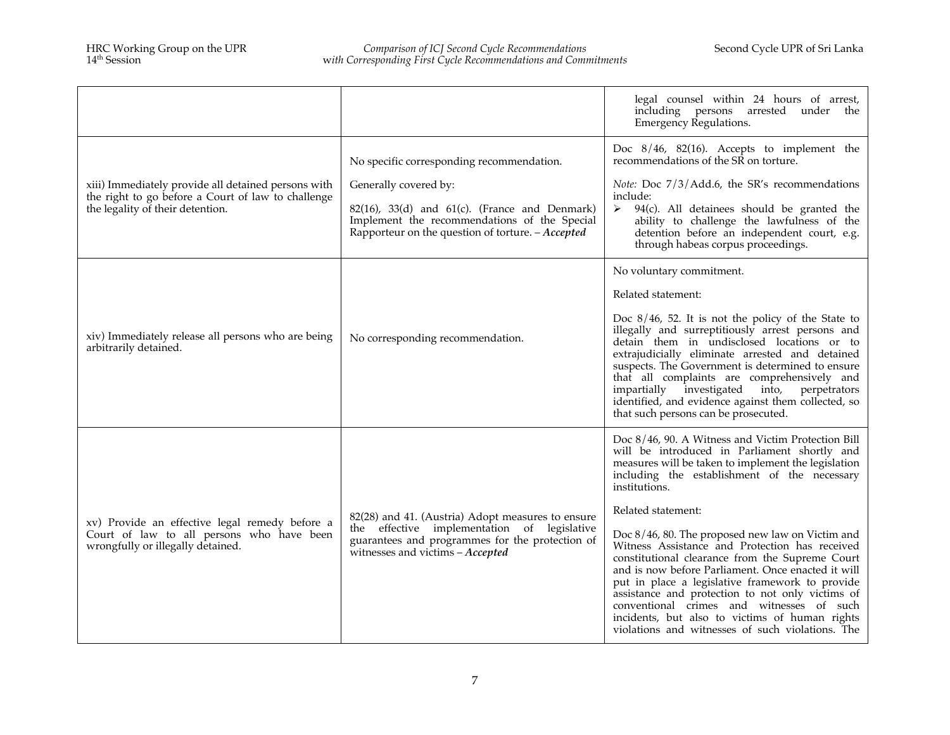|                                                                                                                                               |                                                                                                                                                                                         | legal counsel within 24 hours of arrest,<br>including persons arrested under<br>the<br>Emergency Regulations.                                                                                                                                                                                                                                                                                                                                                         |
|-----------------------------------------------------------------------------------------------------------------------------------------------|-----------------------------------------------------------------------------------------------------------------------------------------------------------------------------------------|-----------------------------------------------------------------------------------------------------------------------------------------------------------------------------------------------------------------------------------------------------------------------------------------------------------------------------------------------------------------------------------------------------------------------------------------------------------------------|
|                                                                                                                                               | No specific corresponding recommendation.<br>Generally covered by:                                                                                                                      | Doc 8/46, 82(16). Accepts to implement the<br>recommendations of the SR on torture.<br>Note: Doc 7/3/Add.6, the SR's recommendations                                                                                                                                                                                                                                                                                                                                  |
| xiii) Immediately provide all detained persons with<br>the right to go before a Court of law to challenge<br>the legality of their detention. | $82(16)$ , $33(d)$ and $61(c)$ . (France and Denmark)<br>Implement the recommendations of the Special<br>Rapporteur on the question of torture. $-Accepted$                             | include:<br>$94(c)$ . All detainees should be granted the<br>➤<br>ability to challenge the lawfulness of the<br>detention before an independent court, e.g.<br>through habeas corpus proceedings.                                                                                                                                                                                                                                                                     |
|                                                                                                                                               |                                                                                                                                                                                         | No voluntary commitment.                                                                                                                                                                                                                                                                                                                                                                                                                                              |
|                                                                                                                                               |                                                                                                                                                                                         | Related statement:                                                                                                                                                                                                                                                                                                                                                                                                                                                    |
| xiv) Immediately release all persons who are being<br>arbitrarily detained.                                                                   | No corresponding recommendation.                                                                                                                                                        | Doc $8/46$ , 52. It is not the policy of the State to<br>illegally and surreptitiously arrest persons and<br>detain them in undisclosed locations or to<br>extrajudicially eliminate arrested and detained<br>suspects. The Government is determined to ensure<br>that all complaints are comprehensively and<br>impartially investigated into, perpetrators<br>identified, and evidence against them collected, so<br>that such persons can be prosecuted.           |
|                                                                                                                                               |                                                                                                                                                                                         | Doc 8/46, 90. A Witness and Victim Protection Bill<br>will be introduced in Parliament shortly and<br>measures will be taken to implement the legislation<br>including the establishment of the necessary<br>institutions.                                                                                                                                                                                                                                            |
| xv) Provide an effective legal remedy before a                                                                                                | 82(28) and 41. (Austria) Adopt measures to ensure<br>the effective implementation of legislative<br>guarantees and programmes for the protection of<br>witnesses and victims - Accepted | Related statement:                                                                                                                                                                                                                                                                                                                                                                                                                                                    |
| Court of law to all persons who have been<br>wrongfully or illegally detained.                                                                |                                                                                                                                                                                         | Doc 8/46, 80. The proposed new law on Victim and<br>Witness Assistance and Protection has received<br>constitutional clearance from the Supreme Court<br>and is now before Parliament. Once enacted it will<br>put in place a legislative framework to provide<br>assistance and protection to not only victims of<br>conventional crimes and witnesses of such<br>incidents, but also to victims of human rights<br>violations and witnesses of such violations. The |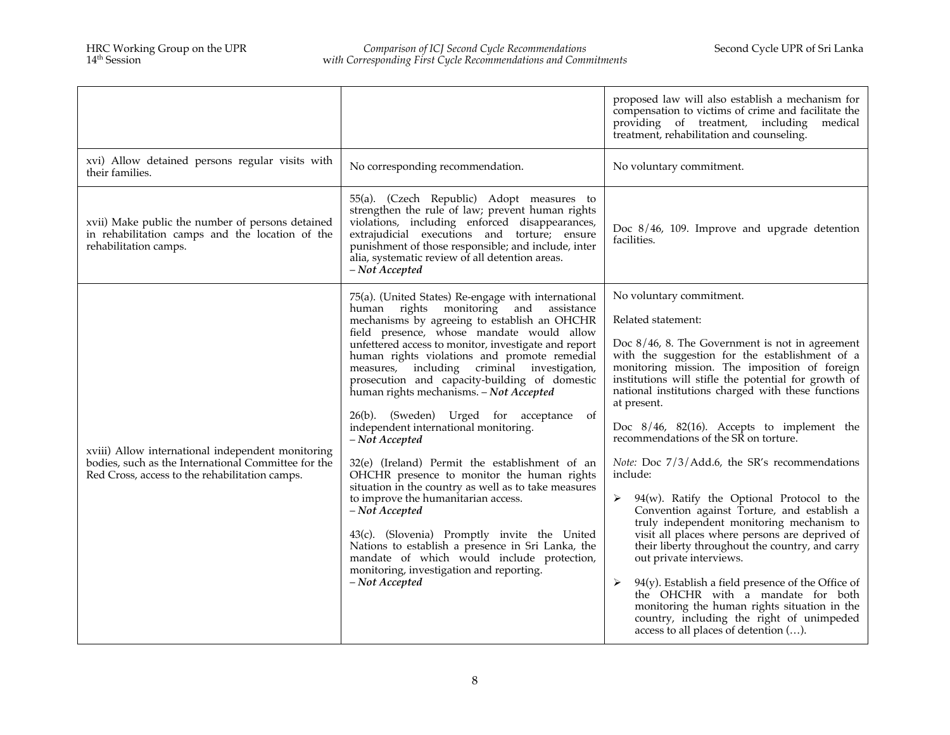|                                                                                                                                                            |                                                                                                                                                                                                                                                                                                                                                                                                                                                                                                                                                                                                                                                                                                                                                                                                                                                                                                                                                                                         | proposed law will also establish a mechanism for<br>compensation to victims of crime and facilitate the<br>providing of treatment, including medical<br>treatment, rehabilitation and counseling.                                                                                                                                                                                                                                                                                                                                                                                                                                                                                                                                                                                                                                                                                                                                                                                                                         |
|------------------------------------------------------------------------------------------------------------------------------------------------------------|-----------------------------------------------------------------------------------------------------------------------------------------------------------------------------------------------------------------------------------------------------------------------------------------------------------------------------------------------------------------------------------------------------------------------------------------------------------------------------------------------------------------------------------------------------------------------------------------------------------------------------------------------------------------------------------------------------------------------------------------------------------------------------------------------------------------------------------------------------------------------------------------------------------------------------------------------------------------------------------------|---------------------------------------------------------------------------------------------------------------------------------------------------------------------------------------------------------------------------------------------------------------------------------------------------------------------------------------------------------------------------------------------------------------------------------------------------------------------------------------------------------------------------------------------------------------------------------------------------------------------------------------------------------------------------------------------------------------------------------------------------------------------------------------------------------------------------------------------------------------------------------------------------------------------------------------------------------------------------------------------------------------------------|
| xvi) Allow detained persons regular visits with<br>their families.                                                                                         | No corresponding recommendation.                                                                                                                                                                                                                                                                                                                                                                                                                                                                                                                                                                                                                                                                                                                                                                                                                                                                                                                                                        | No voluntary commitment.                                                                                                                                                                                                                                                                                                                                                                                                                                                                                                                                                                                                                                                                                                                                                                                                                                                                                                                                                                                                  |
| xvii) Make public the number of persons detained<br>in rehabilitation camps and the location of the<br>rehabilitation camps.                               | 55(a). (Czech Republic) Adopt measures to<br>strengthen the rule of law; prevent human rights<br>violations, including enforced disappearances,<br>extrajudicial executions and torture; ensure<br>punishment of those responsible; and include, inter<br>alia, systematic review of all detention areas.<br>- Not Accepted                                                                                                                                                                                                                                                                                                                                                                                                                                                                                                                                                                                                                                                             | Doc $8/46$ , 109. Improve and upgrade detention<br>facilities.                                                                                                                                                                                                                                                                                                                                                                                                                                                                                                                                                                                                                                                                                                                                                                                                                                                                                                                                                            |
| xviii) Allow international independent monitoring<br>bodies, such as the International Committee for the<br>Red Cross, access to the rehabilitation camps. | 75(a). (United States) Re-engage with international<br>human rights monitoring and assistance<br>mechanisms by agreeing to establish an OHCHR<br>field presence, whose mandate would allow<br>unfettered access to monitor, investigate and report<br>human rights violations and promote remedial<br>measures, including criminal investigation,<br>prosecution and capacity-building of domestic<br>human rights mechanisms. - Not Accepted<br>26(b). (Sweden) Urged for acceptance of<br>independent international monitoring.<br>- Not Accepted<br>32(e) (Ireland) Permit the establishment of an<br>OHCHR presence to monitor the human rights<br>situation in the country as well as to take measures<br>to improve the humanitarian access.<br>$-$ Not Accepted<br>43(c). (Slovenia) Promptly invite the United<br>Nations to establish a presence in Sri Lanka, the<br>mandate of which would include protection,<br>monitoring, investigation and reporting.<br>- Not Accepted | No voluntary commitment.<br>Related statement:<br>Doc $8/46$ , 8. The Government is not in agreement<br>with the suggestion for the establishment of a<br>monitoring mission. The imposition of foreign<br>institutions will stifle the potential for growth of<br>national institutions charged with these functions<br>at present.<br>Doc $8/46$ , $82(16)$ . Accepts to implement the<br>recommendations of the SR on torture.<br>Note: Doc 7/3/Add.6, the SR's recommendations<br>include:<br>$94(w)$ . Ratify the Optional Protocol to the<br>➤<br>Convention against Torture, and establish a<br>truly independent monitoring mechanism to<br>visit all places where persons are deprived of<br>their liberty throughout the country, and carry<br>out private interviews.<br>$94(y)$ . Establish a field presence of the Office of<br>➤<br>the OHCHR with a mandate for both<br>monitoring the human rights situation in the<br>country, including the right of unimpeded<br>access to all places of detention (). |